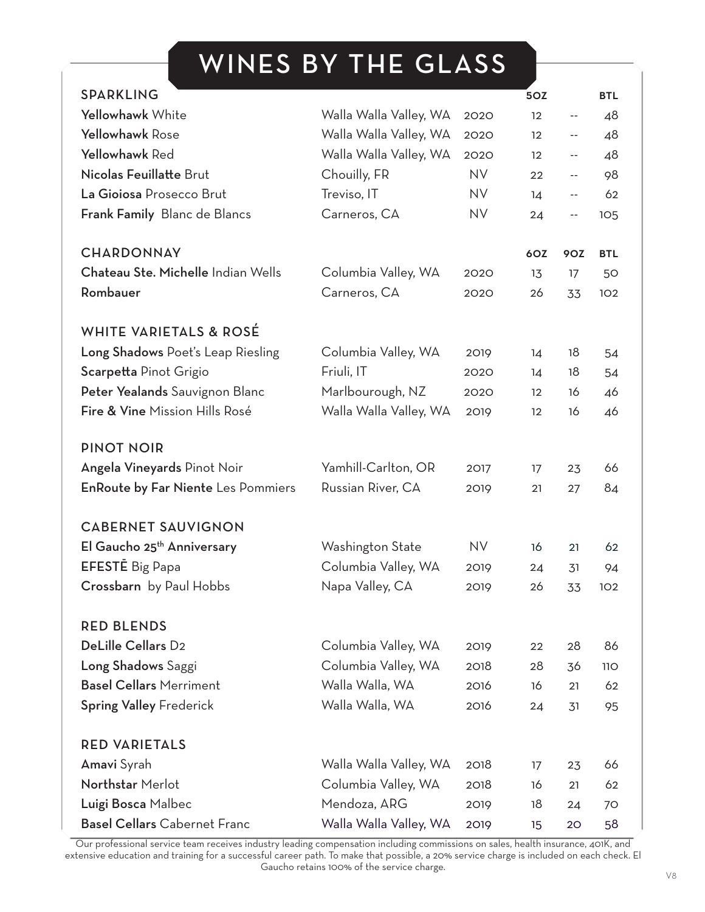# WINES BY THE GLASS

| <b>SPARKLING</b>                          |                        |           | <b>5OZ</b> |            | <b>BTL</b> |
|-------------------------------------------|------------------------|-----------|------------|------------|------------|
| Yellowhawk White                          | Walla Walla Valley, WA | 2020      | 12         | $ -$       | 48         |
| <b>Yellowhawk Rose</b>                    | Walla Walla Valley, WA | 2020      | 12         | --         | 48         |
| Yellowhawk Red                            | Walla Walla Valley, WA | 2020      | 12         | $ -$       | 48         |
| Nicolas Feuillatte Brut                   | Chouilly, FR           | <b>NV</b> | 22         | --         | 98         |
| La Gioiosa Prosecco Brut                  | Treviso, IT            | <b>NV</b> | 14         | $ -$       | 62         |
| <b>Frank Family</b> Blanc de Blancs       | Carneros, CA           | <b>NV</b> | 24         | --         | 105        |
| <b>CHARDONNAY</b>                         |                        |           | 6OZ        | <b>90Z</b> | <b>BTL</b> |
| Chateau Ste. Michelle Indian Wells        | Columbia Valley, WA    | 2020      | 13         | 17         | 50         |
| Rombauer                                  | Carneros, CA           | 2020      | 26         | 33         | 102        |
| <b>WHITE VARIETALS &amp; ROSÉ</b>         |                        |           |            |            |            |
| Long Shadows Poet's Leap Riesling         | Columbia Valley, WA    | 2019      | 14         | 18         | 54         |
| Scarpetta Pinot Grigio                    | Friuli, IT             | 2020      | 14         | 18         | 54         |
| Peter Yealands Sauvignon Blanc            | Marlbourough, NZ       | 2020      | 12         | 16         | 46         |
| Fire & Vine Mission Hills Rosé            | Walla Walla Valley, WA | 2019      | 12         | 16         | 46         |
| <b>PINOT NOIR</b>                         |                        |           |            |            |            |
| Angela Vineyards Pinot Noir               | Yamhill-Carlton, OR    | 2017      | 17         | 23         | 66         |
| <b>EnRoute by Far Niente Les Pommiers</b> | Russian River, CA      | 2019      | 21         | 27         | 84         |
| <b>CABERNET SAUVIGNON</b>                 |                        |           |            |            |            |
| El Gaucho 25 <sup>th</sup> Anniversary    | Washington State       | <b>NV</b> | 16         | 21         | 62         |
| <b>EFESTE</b> Big Papa                    | Columbia Valley, WA    | 2019      | 24         | 31         | 94         |
| Crossbarn by Paul Hobbs                   | Napa Valley, CA        | 2019      | 26         | 33         | 102        |
| <b>RED BLENDS</b>                         |                        |           |            |            |            |
| <b>DeLille Cellars D2</b>                 | Columbia Valley, WA    | 2019      | 22         | 28         | 86         |
| Long Shadows Saggi                        | Columbia Valley, WA    | 2018      | 28         | 36         | 11O        |
| <b>Basel Cellars Merriment</b>            | Walla Walla, WA        | 2016      | 16         | 21         | 62         |
| <b>Spring Valley Frederick</b>            | Walla Walla, WA        | 2016      | 24         | 31         | 95         |
| <b>RED VARIETALS</b>                      |                        |           |            |            |            |
| Amavi Syrah                               | Walla Walla Valley, WA | 2018      | 17         | 23         | 66         |
| Northstar Merlot                          | Columbia Valley, WA    | 2018      | 16         | 21         | 62         |
| Luigi Bosca Malbec                        | Mendoza, ARG           | 2019      | 18         | 24         | 70         |
| <b>Basel Cellars Cabernet Franc</b>       | Walla Walla Valley, WA | 2019      | 15         | 20         | 58         |

Our professional service team receives industry leading compensation including commissions on sales, health insurance, 401K, and extensive education and training for a successful career path. To make that possible, a 20% service charge is included on each check. El Gaucho retains 100% of the service charge.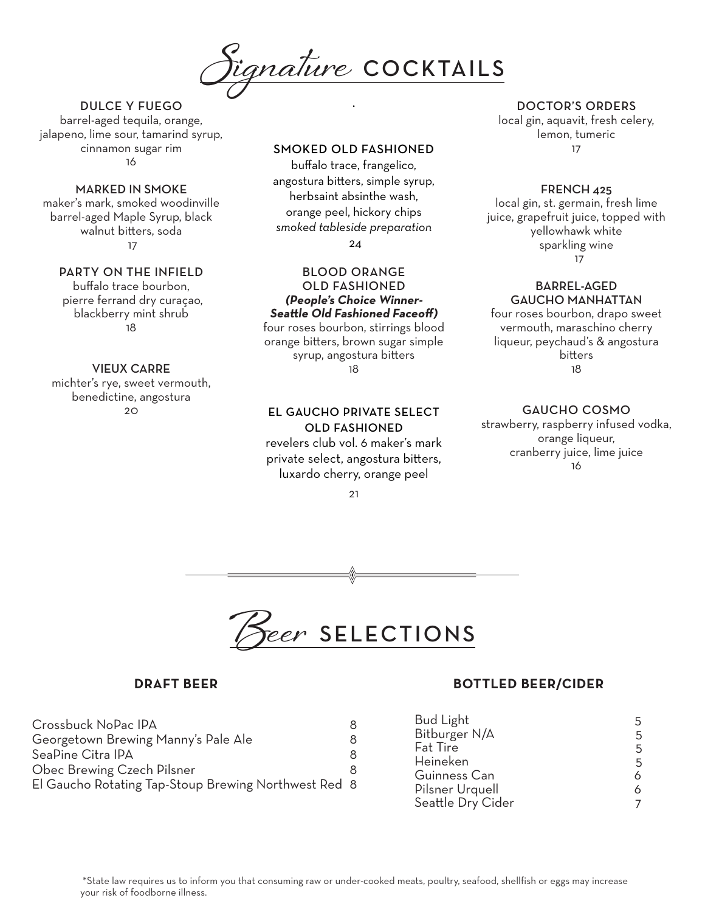**Signature** COCKTAILS

## DULCE Y FUEGO

barrel-aged tequila, orange, jalapeno, lime sour, tamarind syrup, cinnamon sugar rim 16

## MARKED IN SMOKE

maker's mark, smoked woodinville barrel-aged Maple Syrup, black walnut bitters, soda 17

## PARTY ON THE INFIELD

buffalo trace bourbon, pierre ferrand dry curaçao, blackberry mint shrub 18

## VIEUX CARRE

michter's rye, sweet vermouth, benedictine, angostura 20

## SMOKED OLD FASHIONED

.

buffalo trace, frangelico, angostura bitters, simple syrup, herbsaint absinthe wash, orange peel, hickory chips *smoked tableside preparation*

24

## BLOOD ORANGE OLD FASHIONED **(People's Choice Winner-Seattle Old Fashioned Faceoff)**

four roses bourbon, stirrings blood orange bitters, brown sugar simple syrup, angostura bitters 18

## EL GAUCHO PRIVATE SELECT OLD FASHIONED

revelers club vol. 6 maker's mark private select, angostura bitters, luxardo cherry, orange peel

21

## DOCTOR'S ORDERS

local gin, aquavit, fresh celery, lemon, tumeric 17

## FRENCH 425

local gin, st. germain, fresh lime juice, grapefruit juice, topped with yellowhawk white sparkling wine 17

#### BARREL-AGED GAUCHO MANHATTAN

four roses bourbon, drapo sweet vermouth, maraschino cherry liqueur, peychaud's & angostura bitters 18

## GAUCHO COSMO

strawberry, raspberry infused vodka, orange liqueur, cranberry juice, lime juice 16



| 8                                                    |
|------------------------------------------------------|
| 8                                                    |
| 8                                                    |
| 8                                                    |
| El Gaucho Rotating Tap-Stoup Brewing Northwest Red 8 |
|                                                      |

## **DRAFT BEER BOTTLED BEER/CIDER**

| <b>Bud Light</b>  | 5 |
|-------------------|---|
| Bitburger N/A     | 5 |
| <b>Fat Tire</b>   | 5 |
| Heineken          | 5 |
| Guinness Can      | 6 |
| Pilsner Urquell   | 6 |
| Seattle Dry Cider |   |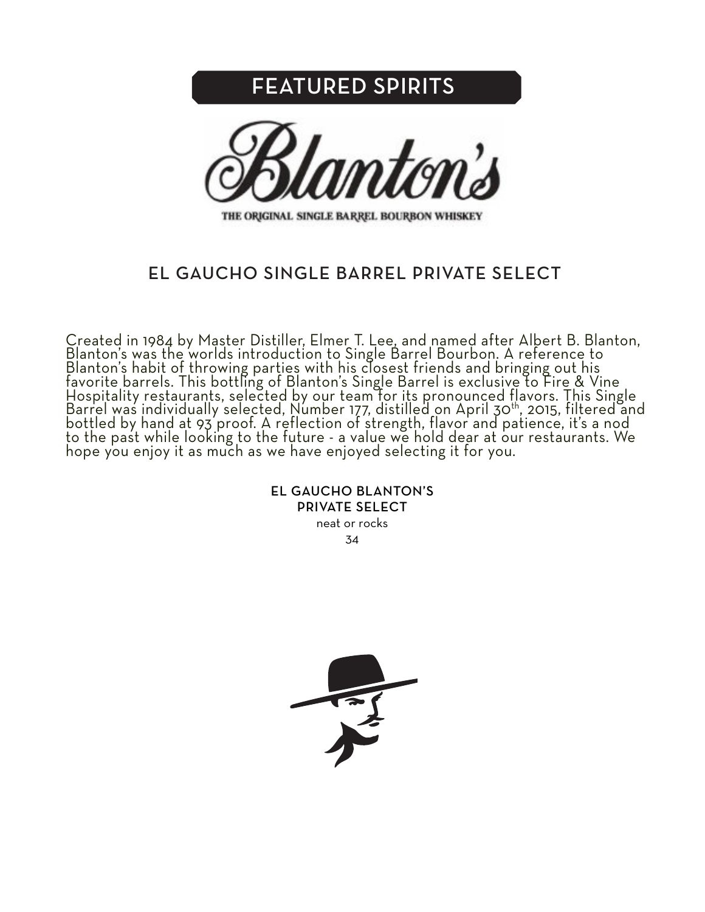# FEATURED SPIRITS



THE ORIGINAL SINGLE BARREL BOURBON WHISKEY

## EL GAUCHO SINGLE BARREL PRIVATE SELECT

Created in 1984 by Master Distiller, Elmer T. Lee, and named after Albert B. Blanton, Blanton's was the worlds introduction to Single Barrel Bourbon. A reference to Blanton's habit of throwing parties with his closest friends and bringing out his favorite barrels. This bottling of Blanton's Single Barrel is exclusive to Fire & Vine Hospitality restaurants, selected by our team for its pronounced flavors. This Single Barrel was individually selected, Number 177, distilled on April 30th, 2015, filtered and bottled by hand at 93 proof. A reflection of strength, flavor and patience, it's a nod to the past while looking to the future - a value we hold dear at our restaurants. We hope you enjoy it as much as we have enjoyed selecting it for you.

> EL GAUCHO BLANTON'S PRIVATE SELECT

neat or rocks 34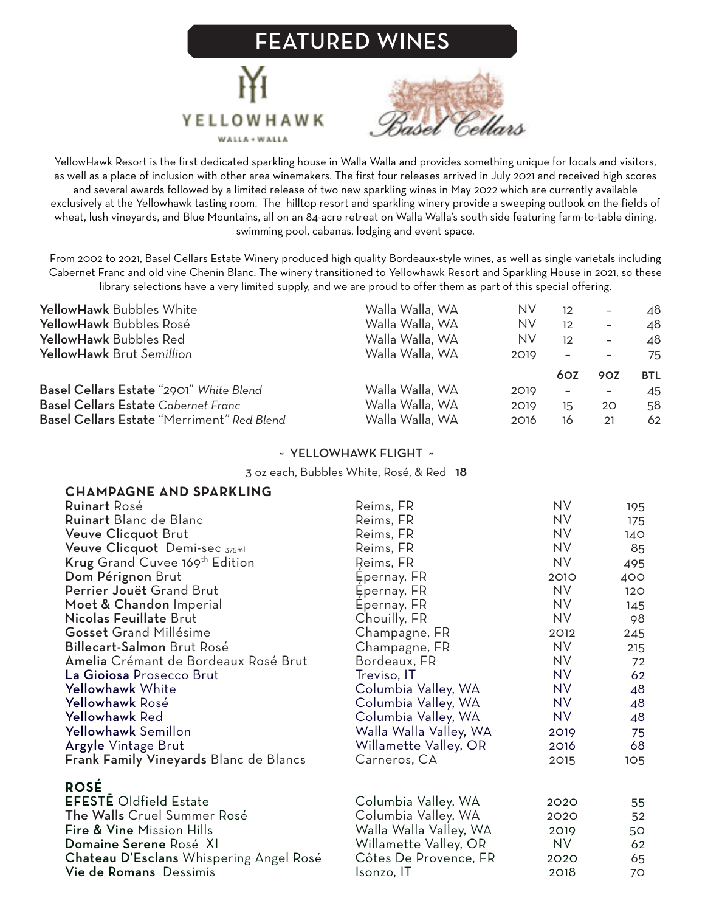# FEATURED WINES





YellowHawk Resort is the first dedicated sparkling house in Walla Walla and provides something unique for locals and visitors, as well as a place of inclusion with other area winemakers. The first four releases arrived in July 2021 and received high scores and several awards followed by a limited release of two new sparkling wines in May 2022 which are currently available exclusively at the Yellowhawk tasting room. The hilltop resort and sparkling winery provide a sweeping outlook on the fields of wheat, lush vineyards, and Blue Mountains, all on an 84-acre retreat on Walla Walla's south side featuring farm-to-table dining, swimming pool, cabanas, lodging and event space.

From 2002 to 2021, Basel Cellars Estate Winery produced high quality Bordeaux-style wines, as well as single varietals including Cabernet Franc and old vine Chenin Blanc. The winery transitioned to Yellowhawk Resort and Sparkling House in 2021, so these library selections have a very limited supply, and we are proud to offer them as part of this special offering.

| <b>YellowHawk Bubbles White</b>            | Walla Walla, WA | NV   | 12                       | $\overline{\phantom{0}}$ | 48         |
|--------------------------------------------|-----------------|------|--------------------------|--------------------------|------------|
| YellowHawk Bubbles Rosé                    | Walla Walla, WA | NV   | 12                       | $\overline{\phantom{m}}$ | 48         |
| YellowHawk Bubbles Red                     | Walla Walla, WA | NV   | 12                       | $\overline{\phantom{0}}$ | 48         |
| YellowHawk Brut Semillion                  | Walla Walla, WA | 2019 |                          |                          | 75         |
|                                            |                 |      |                          |                          |            |
|                                            |                 |      | 60Z                      | 90Z                      | <b>BTL</b> |
| Basel Cellars Estate "2901" White Blend    | Walla Walla, WA | 2019 | $\overline{\phantom{a}}$ |                          | 45         |
| <b>Basel Cellars Estate Cabernet Franc</b> | Walla Walla, WA | 2019 | 15                       | 20                       | 58         |

## ~ YELLOWHAWK FLIGHT ~

3 oz each, Bubbles White, Rosé, & Red 18

| <b>CHAMPAGNE AND SPARKLING</b>                |                        |           |     |
|-----------------------------------------------|------------------------|-----------|-----|
| <b>Ruinart Rosé</b>                           | Reims, FR              | NV.       | 195 |
| Ruinart Blanc de Blanc                        | Reims, FR              | <b>NV</b> | 175 |
| Veuve Clicquot Brut                           | Reims, FR              | NV        | 140 |
| Veuve Clicquot Demi-sec 375ml                 | Reims, FR              | <b>NV</b> | 85  |
| Krug Grand Cuvee 169 <sup>th</sup> Edition    | Reims, FR              | <b>NV</b> | 495 |
| Dom Pérignon Brut                             | Epernay, FR            | 2010      | 400 |
| Perrier Jouët Grand Brut                      | Epernay, FR            | <b>NV</b> | 120 |
| Moet & Chandon Imperial                       | Epernay, FR            | <b>NV</b> | 145 |
| Nicolas Feuillate Brut                        | Chouilly, FR           | NV        | 98  |
| <b>Gosset</b> Grand Millésime                 | Champagne, FR          | 2012      | 245 |
| Billecart-Salmon Brut Rosé                    | Champagne, FR          | NV        | 215 |
| Amelia Crémant de Bordeaux Rosé Brut          | Bordeaux, FR           | <b>NV</b> | 72  |
| La Gioiosa Prosecco Brut                      | Treviso, IT            | <b>NV</b> | 62  |
| Yellowhawk White                              | Columbia Valley, WA    | <b>NV</b> | 48  |
| Yellowhawk Rosé                               | Columbia Valley, WA    | NV.       | 48  |
| Yellowhawk Red                                | Columbia Valley, WA    | NV        | 48  |
| Yellowhawk Semillon                           | Walla Walla Valley, WA | 2019      | 75  |
| Argyle Vintage Brut                           | Willamette Valley, OR  | 2016      | 68  |
| <b>Frank Family Vineyards Blanc de Blancs</b> | Carneros, CA           | 2015      | 105 |
| <b>ROSÉ</b>                                   |                        |           |     |
| <b>EFESTE Oldfield Estate</b>                 | Columbia Valley, WA    | 2020      | 55  |
| The Walls Cruel Summer Rosé                   | Columbia Valley, WA    | 2020      | 52  |
| Fire & Vine Mission Hills                     | Walla Walla Valley, WA | 2019      | 50  |
| Domaine Serene Rosé XI                        | Willamette Valley, OR  | NV.       | 62  |
| Chateau D'Esclans Whispering Angel Rosé       | Côtes De Provence, FR  | 2020      | 65  |
| Vie de Romans Dessimis                        | Isonzo, IT             | 2018      | 70  |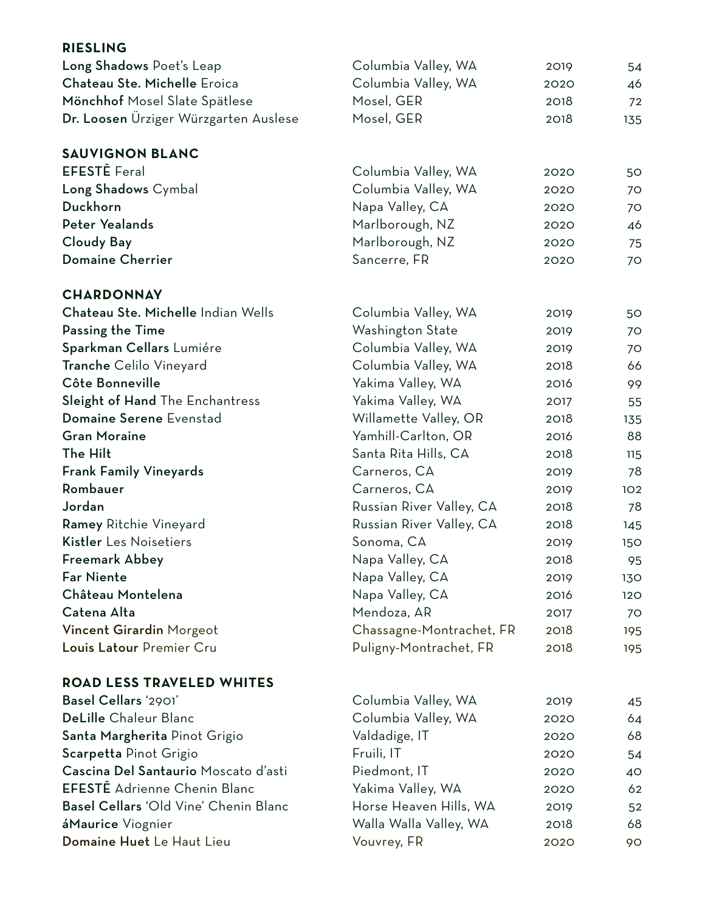| <b>RIESLING</b>                       |                          |      |     |
|---------------------------------------|--------------------------|------|-----|
| Long Shadows Poet's Leap              | Columbia Valley, WA      | 2019 | 54  |
| Chateau Ste. Michelle Eroica          | Columbia Valley, WA      | 2020 | 46  |
| Mönchhof Mosel Slate Spätlese         | Mosel, GER               | 2018 | 72  |
| Dr. Loosen Ürziger Würzgarten Auslese | Mosel, GER               | 2018 | 135 |
| <b>SAUVIGNON BLANC</b>                |                          |      |     |
| <b>EFESTE</b> Feral                   | Columbia Valley, WA      | 2020 | 50  |
| Long Shadows Cymbal                   | Columbia Valley, WA      | 2020 | 70  |
| Duckhorn                              | Napa Valley, CA          | 2020 | 70  |
| <b>Peter Yealands</b>                 | Marlborough, NZ          | 2020 | 46  |
| <b>Cloudy Bay</b>                     | Marlborough, NZ          | 2020 | 75  |
| <b>Domaine Cherrier</b>               | Sancerre, FR             | 2020 | 70  |
| <b>CHARDONNAY</b>                     |                          |      |     |
| Chateau Ste. Michelle Indian Wells    | Columbia Valley, WA      | 2019 | 50  |
| Passing the Time                      | Washington State         | 2019 | 70  |
| Sparkman Cellars Lumiére              | Columbia Valley, WA      | 2019 | 70  |
| Tranche Celilo Vineyard               | Columbia Valley, WA      | 2018 | 66  |
| Côte Bonneville                       | Yakima Valley, WA        | 2016 | 99  |
| Sleight of Hand The Enchantress       | Yakima Valley, WA        | 2017 | 55  |
| Domaine Serene Evenstad               | Willamette Valley, OR    | 2018 | 135 |
| <b>Gran Moraine</b>                   | Yamhill-Carlton, OR      | 2016 | 88  |
| The Hilt                              | Santa Rita Hills, CA     | 2018 | 115 |
| <b>Frank Family Vineyards</b>         | Carneros, CA             | 2019 | 78  |
| Rombauer                              | Carneros, CA             | 2019 | 102 |
| Jordan                                | Russian River Valley, CA | 2018 | 78  |
| Ramey Ritchie Vineyard                | Russian River Valley, CA | 2018 | 145 |
| Kistler Les Noisetiers                | Sonoma, CA               | 2019 | 150 |
| <b>Freemark Abbey</b>                 | Napa Valley, CA          | 2018 | 95  |
| <b>Far Niente</b>                     | Napa Valley, CA          | 2019 | 130 |
| Château Montelena                     | Napa Valley, CA          | 2016 | 120 |
| Catena Alta                           | Mendoza, AR              | 2017 | 70  |
| Vincent Girardin Morgeot              | Chassagne-Montrachet, FR | 2018 | 195 |
| Louis Latour Premier Cru              | Puligny-Montrachet, FR   | 2018 | 195 |
| <b>ROAD LESS TRAVELED WHITES</b>      |                          |      |     |
| Basel Cellars '2901'                  | Columbia Valley, WA      | 2019 | 45  |
| DeLille Chaleur Blanc                 | Columbia Valley, WA      | 2020 | 64  |
| Santa Margherita Pinot Grigio         | Valdadige, IT            | 2020 | 68  |
| Scarpetta Pinot Grigio                | Fruili, IT               | 2020 | 54  |
| Cascina Del Santaurio Moscato d'asti  | Piedmont, IT             | 2020 | 40  |
| <b>EFESTE</b> Adrienne Chenin Blanc   | Yakima Valley, WA        | 2020 | 62  |
| Basel Cellars 'Old Vine' Chenin Blanc | Horse Heaven Hills, WA   | 2019 | 52  |
| áMaurice Viognier                     | Walla Walla Valley, WA   | 2018 | 68  |
| Domaine Huet Le Haut Lieu             | Vouvrey, FR              | 2020 | 90  |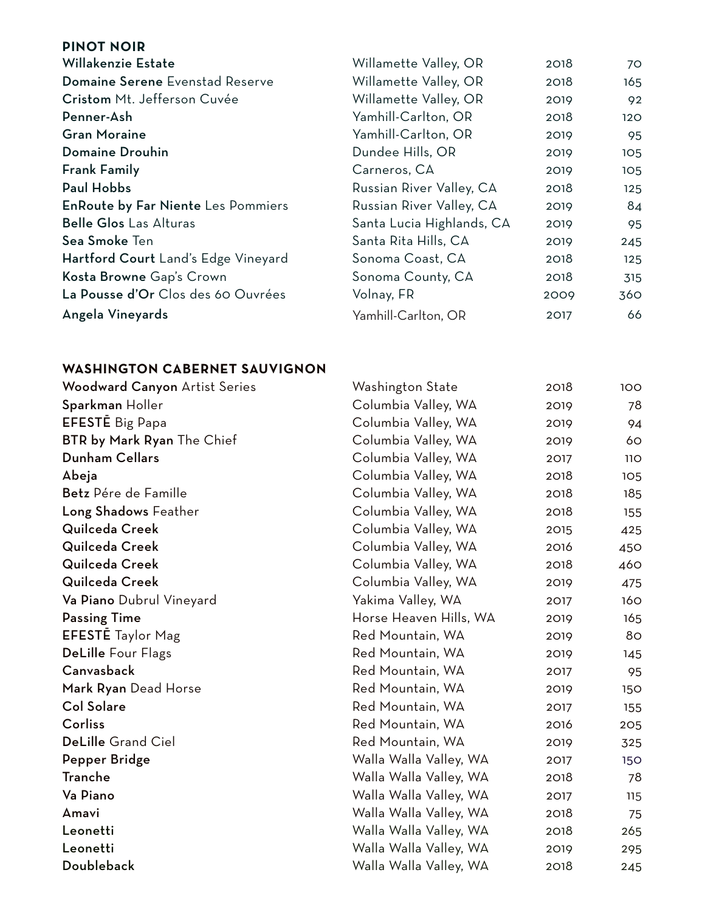| <b>PINOT NOIR</b>                         |                           |      |     |
|-------------------------------------------|---------------------------|------|-----|
| Willakenzie Estate                        | Willamette Valley, OR     | 2018 | 70  |
| Domaine Serene Evenstad Reserve           | Willamette Valley, OR     | 2018 | 165 |
| Cristom Mt. Jefferson Cuvée               | Willamette Valley, OR     | 2019 | 92  |
| Penner-Ash                                | Yamhill-Carlton, OR       | 2018 | 120 |
| <b>Gran Moraine</b>                       | Yamhill-Carlton, OR       | 2019 | 95  |
| Domaine Drouhin                           | Dundee Hills, OR          | 2019 | 105 |
| <b>Frank Family</b>                       | Carneros, CA              | 2019 | 105 |
| <b>Paul Hobbs</b>                         | Russian River Valley, CA  | 2018 | 125 |
| <b>EnRoute by Far Niente Les Pommiers</b> | Russian River Valley, CA  | 2019 | 84  |
| <b>Belle Glos Las Alturas</b>             | Santa Lucia Highlands, CA | 2019 | 95  |
| Sea Smoke Ten                             | Santa Rita Hills, CA      | 2019 | 245 |
| Hartford Court Land's Edge Vineyard       | Sonoma Coast, CA          | 2018 | 125 |
| Kosta Browne Gap's Crown                  | Sonoma County, CA         | 2018 | 315 |
| La Pousse d'Or Clos des 60 Ouvrées        | Volnay, FR                | 2009 | 360 |
| Angela Vineyards                          | Yamhill-Carlton, OR       | 2017 | 66  |

## **WASHINGTON CABERNET SAUVIGNON**

| <b>Woodward Canyon Artist Series</b> | Washington State       | 2018 | 100 |
|--------------------------------------|------------------------|------|-----|
| Sparkman Holler                      | Columbia Valley, WA    | 2019 | 78  |
| <b>EFESTE</b> Big Papa               | Columbia Valley, WA    | 2019 | 94  |
| <b>BTR by Mark Ryan The Chief</b>    | Columbia Valley, WA    | 2019 | 60  |
| <b>Dunham Cellars</b>                | Columbia Valley, WA    | 2017 | 11O |
| Abeja                                | Columbia Valley, WA    | 2018 | 105 |
| Betz Pére de Famille                 | Columbia Valley, WA    | 2018 | 185 |
| Long Shadows Feather                 | Columbia Valley, WA    | 2018 | 155 |
| Quilceda Creek                       | Columbia Valley, WA    | 2015 | 425 |
| Quilceda Creek                       | Columbia Valley, WA    | 2016 | 450 |
| Quilceda Creek                       | Columbia Valley, WA    | 2018 | 460 |
| Quilceda Creek                       | Columbia Valley, WA    | 2019 | 475 |
| Va Piano Dubrul Vineyard             | Yakima Valley, WA      | 2017 | 160 |
| <b>Passing Time</b>                  | Horse Heaven Hills, WA | 2019 | 165 |
| <b>EFESTE</b> Taylor Mag             | Red Mountain, WA       | 2019 | 80  |
| <b>DeLille Four Flags</b>            | Red Mountain, WA       | 2019 | 145 |
| Canvasback                           | Red Mountain, WA       | 2017 | 95  |
| Mark Ryan Dead Horse                 | Red Mountain, WA       | 2019 | 150 |
| <b>Col Solare</b>                    | Red Mountain, WA       | 2017 | 155 |
| Corliss                              | Red Mountain, WA       | 2016 | 205 |
| <b>DeLille Grand Ciel</b>            | Red Mountain, WA       | 2019 | 325 |
| Pepper Bridge                        | Walla Walla Valley, WA | 2017 | 150 |
| <b>Tranche</b>                       | Walla Walla Valley, WA | 2018 | 78  |
| Va Piano                             | Walla Walla Valley, WA | 2017 | 115 |
| Amavi                                | Walla Walla Valley, WA | 2018 | 75  |
| Leonetti                             | Walla Walla Valley, WA | 2018 | 265 |
| Leonetti                             | Walla Walla Valley, WA | 2019 | 295 |
| Doubleback                           | Walla Walla Valley, WA | 2018 | 245 |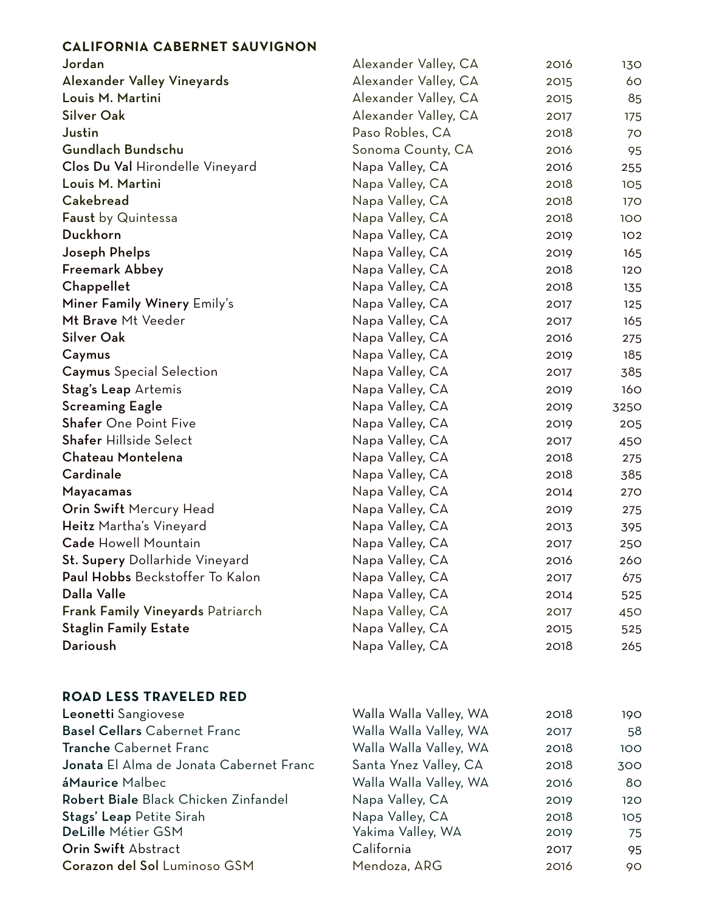## **CALIFORNIA CABERNET SAUVIGNON**

| Jordan                                  | Alexander Valley, CA | 2016 | 130  |
|-----------------------------------------|----------------------|------|------|
| <b>Alexander Valley Vineyards</b>       | Alexander Valley, CA | 2015 | 60   |
| Louis M. Martini                        | Alexander Valley, CA | 2015 | 85   |
| <b>Silver Oak</b>                       | Alexander Valley, CA | 2017 | 175  |
| Justin                                  | Paso Robles, CA      | 2018 | 70   |
| Gundlach Bundschu                       | Sonoma County, CA    | 2016 | 95   |
| Clos Du Val Hirondelle Vineyard         | Napa Valley, CA      | 2016 | 255  |
| Louis M. Martini                        | Napa Valley, CA      | 2018 | 105  |
| Cakebread                               | Napa Valley, CA      | 2018 | 170  |
| Faust by Quintessa                      | Napa Valley, CA      | 2018 | 100  |
| Duckhorn                                | Napa Valley, CA      | 2019 | 102  |
| Joseph Phelps                           | Napa Valley, CA      | 2019 | 165  |
| Freemark Abbey                          | Napa Valley, CA      | 2018 | 120  |
| Chappellet                              | Napa Valley, CA      | 2018 | 135  |
| Miner Family Winery Emily's             | Napa Valley, CA      | 2017 | 125  |
| Mt Brave Mt Veeder                      | Napa Valley, CA      | 2017 | 165  |
| <b>Silver Oak</b>                       | Napa Valley, CA      | 2016 | 275  |
| Caymus                                  | Napa Valley, CA      | 2019 | 185  |
| <b>Caymus</b> Special Selection         | Napa Valley, CA      | 2017 | 385  |
| Stag's Leap Artemis                     | Napa Valley, CA      | 2019 | 160  |
| <b>Screaming Eagle</b>                  | Napa Valley, CA      | 2019 | 3250 |
| Shafer One Point Five                   | Napa Valley, CA      | 2019 | 205  |
| <b>Shafer Hillside Select</b>           | Napa Valley, CA      | 2017 | 450  |
| Chateau Montelena                       | Napa Valley, CA      | 2018 | 275  |
| Cardinale                               | Napa Valley, CA      | 2018 | 385  |
| Mayacamas                               | Napa Valley, CA      | 2014 | 270  |
| Orin Swift Mercury Head                 | Napa Valley, CA      | 2019 | 275  |
| Heitz Martha's Vineyard                 | Napa Valley, CA      | 2013 | 395  |
| <b>Cade Howell Mountain</b>             | Napa Valley, CA      | 2017 | 250  |
| St. Supery Dollarhide Vineyard          | Napa Valley, CA      | 2016 | 260  |
| Paul Hobbs Beckstoffer To Kalon         | Napa Valley, CA      | 2017 | 675  |
| Dalla Valle                             | Napa Valley, CA      | 2014 | 525  |
| <b>Frank Family Vineyards Patriarch</b> | Napa Valley, CA      | 2017 | 450  |
| <b>Staglin Family Estate</b>            | Napa Valley, CA      | 2015 | 525  |
| Darioush                                | Napa Valley, CA      | 2018 | 265  |

## **ROAD LESS TRAVELED RED**

| Leonetti Sangiovese                     | Walla Walla Valley, WA | 2018 | 190 |
|-----------------------------------------|------------------------|------|-----|
| <b>Basel Cellars Cabernet Franc</b>     | Walla Walla Valley, WA | 2017 | 58  |
| <b>Tranche Cabernet Franc</b>           | Walla Walla Valley, WA | 2018 | 100 |
| Jonata El Alma de Jonata Cabernet Franc | Santa Ynez Valley, CA  | 2018 | 300 |
| áMaurice Malbec                         | Walla Walla Valley, WA | 2016 | 80  |
| Robert Biale Black Chicken Zinfandel    | Napa Valley, CA        | 2019 | 120 |
| Stags' Leap Petite Sirah                | Napa Valley, CA        | 2018 | 105 |
| DeLille Métier GSM                      | Yakima Valley, WA      | 2019 | 75  |
| Orin Swift Abstract                     | California             | 2017 | 95  |
| Corazon del Sol Luminoso GSM            | Mendoza, ARG           | 2016 | 90  |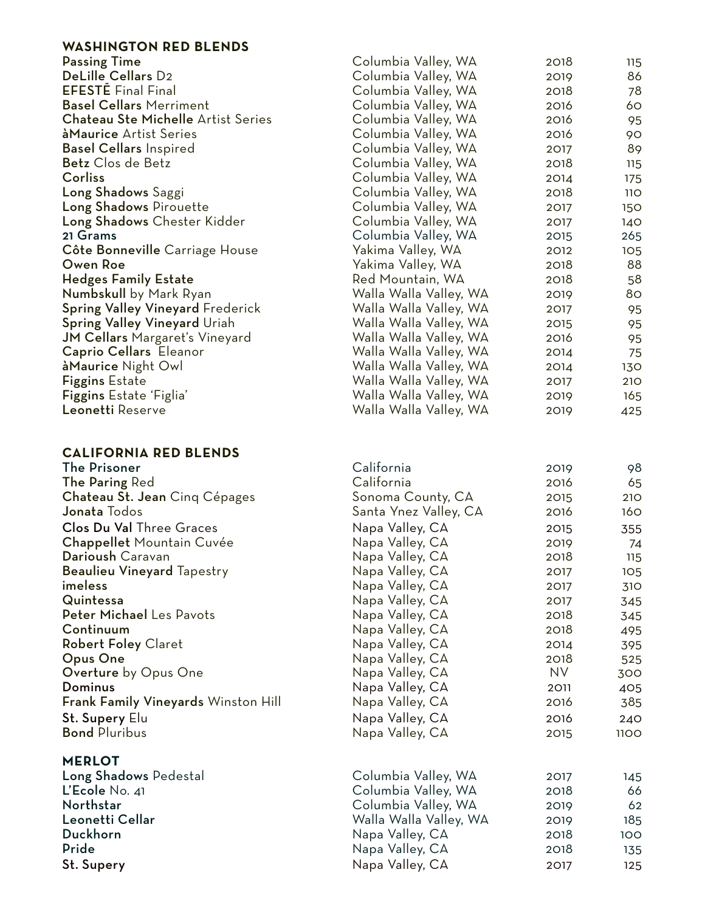## **WASHINGTON RED BLENDS** Passing Time **Columbia Valley, WA** 2018 115 DeLille Cellars D2 Columbia Valley, WA 2019 86 Columbia Valley, WA 2018 78 Basel Cellars Merriment Columbia Valley, WA 2016 60 Chateau Ste Michelle Artist Series **Columbia Valley, WA** 2016 95 àMaurice Artist Series **Columbia Valley, WA** 2016 90 Basel Cellars Inspired Columbia Valley, WA 2017 89 Betz Clos de Betz Columbia Valley, WA 2018 115 Corliss Columbia Valley, WA 2014 175 Long Shadows Saggi Columbia Valley, WA 2018 110 Long Shadows Pirouette **Columbia Valley, WA** 2017 150 Long Shadows Chester Kidder Columbia Valley, WA 2017 140 21 Grams Columbia Valley, WA 2015 265 Côte Bonneville Carriage House Yakima Valley, WA 2012 105 Owen Roe Yakima Valley, WA 2018 88 Hedges Family Estate **Red Mountain, WA** 2018 58 Numbskull by Mark Ryan Walla Walla Valley, WA 2019 80 Spring Valley Vineyard Frederick Walla Walla Valley, WA 2017 95 Spring Valley Vineyard Uriah Mulla Walla Walla Valley, WA 2015 95 JM Cellars Margaret's Vineyard Walla Walla Valley, WA 2016 95 Caprio Cellars Eleanor Walla Walla Valley, WA 2014 75 àMaurice Night Owl Walla Walla Valley, WA 2014 130 Figgins Estate Walla Walla Valley, WA 2017 210 Figgins Estate 'Figlia' The Communication College Walla Walla Valley, WA 2019 165 Leonetti Reserve Walla Walla Valley, WA 2019 425

## **CALIFORNIA RED BLENDS**

| <b>The Prisoner</b>                        | California             | 2019 | 98          |
|--------------------------------------------|------------------------|------|-------------|
| The Paring Red                             | California             | 2016 | 65          |
| Chateau St. Jean Cinq Cépages              | Sonoma County, CA      | 2015 | 210         |
| Jonata Todos                               | Santa Ynez Valley, CA  | 2016 | 160         |
| <b>Clos Du Val Three Graces</b>            | Napa Valley, CA        | 2015 | 355         |
| Chappellet Mountain Cuvée                  | Napa Valley, CA        | 2019 | 74          |
| Darioush Caravan                           | Napa Valley, CA        | 2018 | 115         |
| <b>Beaulieu Vineyard Tapestry</b>          | Napa Valley, CA        | 2017 | 105         |
| imeless                                    | Napa Valley, CA        | 2017 | 310         |
| Quintessa                                  | Napa Valley, CA        | 2017 | 345         |
| Peter Michael Les Pavots                   | Napa Valley, CA        | 2018 | 345         |
| Continuum                                  | Napa Valley, CA        | 2018 | 495         |
| <b>Robert Foley Claret</b>                 | Napa Valley, CA        | 2014 | 395         |
| Opus One                                   | Napa Valley, CA        | 2018 | 525         |
| <b>Overture</b> by Opus One                | Napa Valley, CA        | NV   | 300         |
| Dominus                                    | Napa Valley, CA        | 2011 | 405         |
| <b>Frank Family Vineyards Winston Hill</b> | Napa Valley, CA        | 2016 | 385         |
| St. Supery Elu                             | Napa Valley, CA        | 2016 | 240         |
| <b>Bond Pluribus</b>                       | Napa Valley, CA        | 2015 | <b>1100</b> |
| <b>MERLOT</b>                              |                        |      |             |
| Long Shadows Pedestal                      | Columbia Valley, WA    | 2017 | 145         |
| L'Ecole No. 41                             | Columbia Valley, WA    | 2018 | 66          |
| Northstar                                  | Columbia Valley, WA    | 2019 | 62          |
| Leonetti Cellar                            | Walla Walla Valley, WA | 2019 | 185         |
| Duckhorn                                   | Napa Valley, CA        | 2018 | 100         |

Pride **Napa Valley, CA** 2018 135 St. Supery 125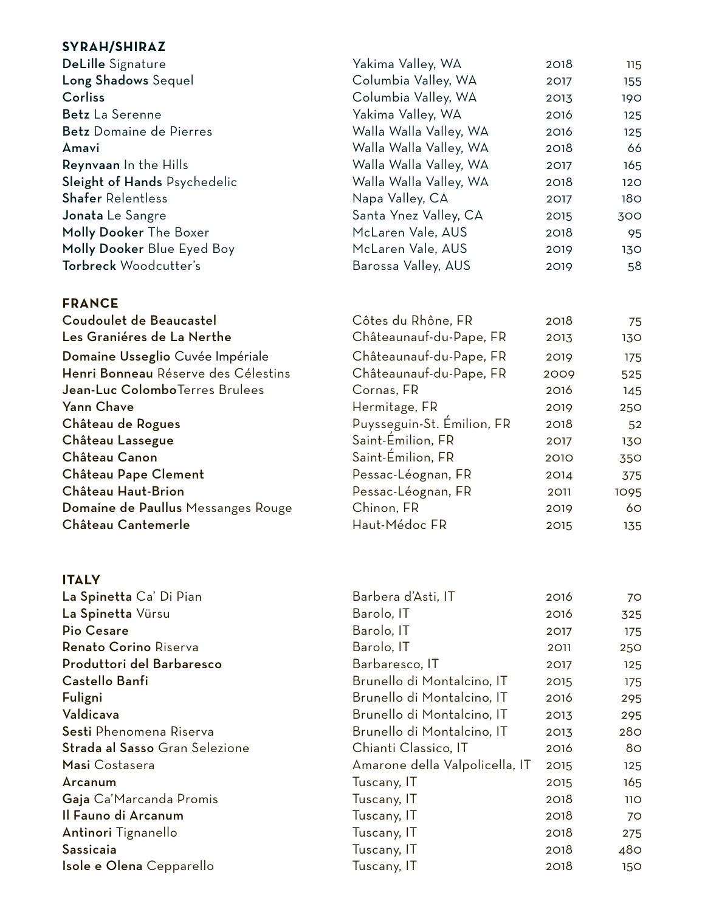| SYRAH/SHIRAZ                        |                            |      |                 |
|-------------------------------------|----------------------------|------|-----------------|
| DeLille Signature                   | Yakima Valley, WA          | 2018 | 115             |
| Long Shadows Sequel                 | Columbia Valley, WA        | 2017 | 155             |
| Corliss                             | Columbia Valley, WA        | 2013 | 190             |
| Betz La Serenne                     | Yakima Valley, WA          | 2016 | 125             |
| <b>Betz</b> Domaine de Pierres      | Walla Walla Valley, WA     | 2016 | 125             |
| Amavi                               | Walla Walla Valley, WA     | 2018 | 66              |
| Reynvaan In the Hills               | Walla Walla Valley, WA     | 2017 | 165             |
| Sleight of Hands Psychedelic        | Walla Walla Valley, WA     | 2018 | 120             |
| <b>Shafer Relentless</b>            | Napa Valley, CA            | 2017 | 18 <sub>O</sub> |
| Jonata Le Sangre                    | Santa Ynez Valley, CA      | 2015 | 300             |
| Molly Dooker The Boxer              | McLaren Vale, AUS          | 2018 | 95              |
| Molly Dooker Blue Eyed Boy          | McLaren Vale, AUS          | 2019 | 130             |
| Torbreck Woodcutter's               | Barossa Valley, AUS        | 2019 | 58              |
| <b>FRANCE</b>                       |                            |      |                 |
| Coudoulet de Beaucastel             | Côtes du Rhône, FR         | 2018 | 75              |
| Les Graniéres de La Nerthe          | Châteaunauf-du-Pape, FR    | 2013 | 130             |
| Domaine Usseglio Cuvée Impériale    | Châteaunauf-du-Pape, FR    | 2019 | 175             |
| Henri Bonneau Réserve des Célestins | Châteaunauf-du-Pape, FR    | 2009 | 525             |
| Jean-Luc ColomboTerres Brulees      | Cornas, FR                 | 2016 | 145             |
| Yann Chave                          | Hermitage, FR              | 2019 | 250             |
| Château de Rogues                   | Puysseguin-St. Emilion, FR | 2018 | 52              |
| Château Lassegue                    | Saint-Emilion, FR          | 2017 | 130             |
| Château Canon                       | Saint-Émilion, FR          | 2010 | 350             |
| Château Pape Clement                | Pessac-Léognan, FR         | 2014 | 375             |
| Château Haut-Brion                  | Pessac-Léognan, FR         | 2011 | 1095            |
| Domaine de Paullus Messanges Rouge  | Chinon, FR                 | 2019 | 60              |
| Château Cantemerle                  | Haut-Médoc FR              | 2015 | 135             |
| <b>ITALY</b>                        |                            |      |                 |
| La Spinetta Ca' Di Pian             | Barbera d'Asti, IT         | 2016 | 70              |
| La Spinetta Vürsu                   | Barolo, IT                 | 2016 | 325             |
| <b>Pio Cesare</b>                   | Barolo, IT                 | 2017 | 175             |
| Renato Corino Riserva               | Barolo, IT                 | 2011 | 250             |
| Produttori del Barbaresco           | Barbaresco, IT             | 2017 | 125             |
| Castello Banfi                      | Brunello di Montalcino, IT | 2015 | 175             |
| Fuligni                             | Brunello di Montalcino, IT | 2016 | 295             |
| <b><i>Maldianus</i></b>             | Rrunalla di Mantalaina IT  | 0017 | 20F             |

| Barolo, IT                     | 2016 | 325 |
|--------------------------------|------|-----|
| Barolo, IT                     | 2017 | 175 |
| Barolo, IT                     | 2011 | 250 |
| Barbaresco, IT                 | 2017 | 125 |
| Brunello di Montalcino, IT     | 2015 | 175 |
| Brunello di Montalcino, IT     | 2016 | 295 |
| Brunello di Montalcino, IT     | 2013 | 295 |
| Brunello di Montalcino, IT     | 2013 | 280 |
| Chianti Classico, IT           | 2016 | 80  |
| Amarone della Valpolicella, IT | 2015 | 125 |
| Tuscany, IT                    | 2015 | 165 |
| Tuscany, IT                    | 2018 | 11O |
| Tuscany, IT                    | 2018 | 70  |
| Tuscany, IT                    | 2018 | 275 |
| Tuscany, IT                    | 2018 | 480 |
| Tuscany, IT                    | 2018 | 150 |
|                                |      |     |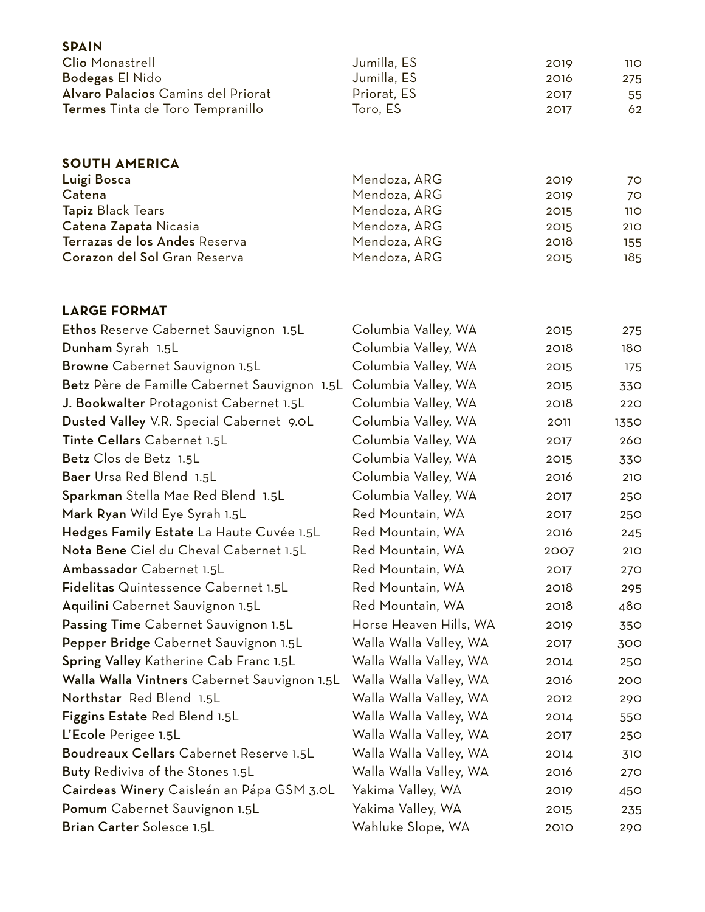| <b>Clio</b> Monastrell                            | Jumilla, ES                  | 2019         | 11O             |
|---------------------------------------------------|------------------------------|--------------|-----------------|
| <b>Bodegas El Nido</b>                            | Jumilla, ES                  | 2016         | 275             |
| Alvaro Palacios Camins del Priorat                | Priorat, ES                  | 2017         | 55              |
| Termes Tinta de Toro Tempranillo                  | Toro, ES                     | 2017         | 62              |
|                                                   |                              |              |                 |
| <b>SOUTH AMERICA</b>                              |                              |              |                 |
| Luigi Bosca                                       | Mendoza, ARG                 | 2019         | 70              |
| Catena                                            | Mendoza, ARG                 | 2019         | 70              |
| <b>Tapiz Black Tears</b><br>Catena Zapata Nicasia | Mendoza, ARG<br>Mendoza, ARG | 2015         | <b>110</b>      |
| Terrazas de los Andes Reserva                     | Mendoza, ARG                 | 2015<br>2018 | 210<br>155      |
| Corazon del Sol Gran Reserva                      | Mendoza, ARG                 | 2015         | 185             |
|                                                   |                              |              |                 |
| <b>LARGE FORMAT</b>                               |                              |              |                 |
| Ethos Reserve Cabernet Sauvignon 1.5L             | Columbia Valley, WA          | 2015         | 275             |
| Dunham Syrah 1.5L                                 | Columbia Valley, WA          | 2018         | 18 <sub>O</sub> |
| Browne Cabernet Sauvignon 1.5L                    | Columbia Valley, WA          | 2015         | 175             |
| Betz Père de Famille Cabernet Sauvignon 1.5L      | Columbia Valley, WA          | 2015         | 330             |
| J. Bookwalter Protagonist Cabernet 1.5L           | Columbia Valley, WA          | 2018         | 220             |
| Dusted Valley V.R. Special Cabernet 9.0L          | Columbia Valley, WA          | 2011         | 1350            |
| Tinte Cellars Cabernet 1.5L                       | Columbia Valley, WA          | 2017         | 260             |
| Betz Clos de Betz 1.5L                            | Columbia Valley, WA          | 2015         | 330             |
| Baer Ursa Red Blend 1.5L                          | Columbia Valley, WA          | 2016         | 210             |
| Sparkman Stella Mae Red Blend 1.5L                | Columbia Valley, WA          | 2017         | 250             |
| Mark Ryan Wild Eye Syrah 1.5L                     | Red Mountain, WA             | 2017         | 250             |
| Hedges Family Estate La Haute Cuvée 1.5L          | Red Mountain, WA             | 2016         | 245             |
| Nota Bene Ciel du Cheval Cabernet 1.5L            | Red Mountain, WA             | 2007         | 210             |
| Ambassador Cabernet 1.5L                          | Red Mountain, WA             | 2017         | 270             |
| Fidelitas Quintessence Cabernet 1.5L              | Red Mountain, WA             | 2018         | 295             |
| Aquilini Cabernet Sauvignon 1.5L                  | Red Mountain, WA             | 2018         | 480             |
| Passing Time Cabernet Sauvignon 1.5L              | Horse Heaven Hills, WA       | 2019         | 350             |
| Pepper Bridge Cabernet Sauvignon 1.5L             | Walla Walla Valley, WA       | 2017         | 300             |
| Spring Valley Katherine Cab Franc 1.5L            | Walla Walla Valley, WA       | 2014         | 250             |
| Walla Walla Vintners Cabernet Sauvignon 1.5L      | Walla Walla Valley, WA       | 2016         | 200             |
| Northstar Red Blend 1.5L                          | Walla Walla Valley, WA       | 2012         | 290             |
| Figgins Estate Red Blend 1.5L                     | Walla Walla Valley, WA       | 2014         | 550             |
| L'Ecole Perigee 1.5L                              | Walla Walla Valley, WA       | 2017         | 250             |
| Boudreaux Cellars Cabernet Reserve 1.5L           | Walla Walla Valley, WA       | 2014         | 310             |
| Buty Rediviva of the Stones 1.5L                  | Walla Walla Valley, WA       | 2016         | 270             |
| Cairdeas Winery Caisleán an Pápa GSM 3.0L         | Yakima Valley, WA            | 2019         | 450             |
| Pomum Cabernet Sauvignon 1.5L                     | Yakima Valley, WA            | 2015         | 235             |
| Brian Carter Solesce 1.5L                         | Wahluke Slope, WA            | 2010         | 290             |

**SPAIN**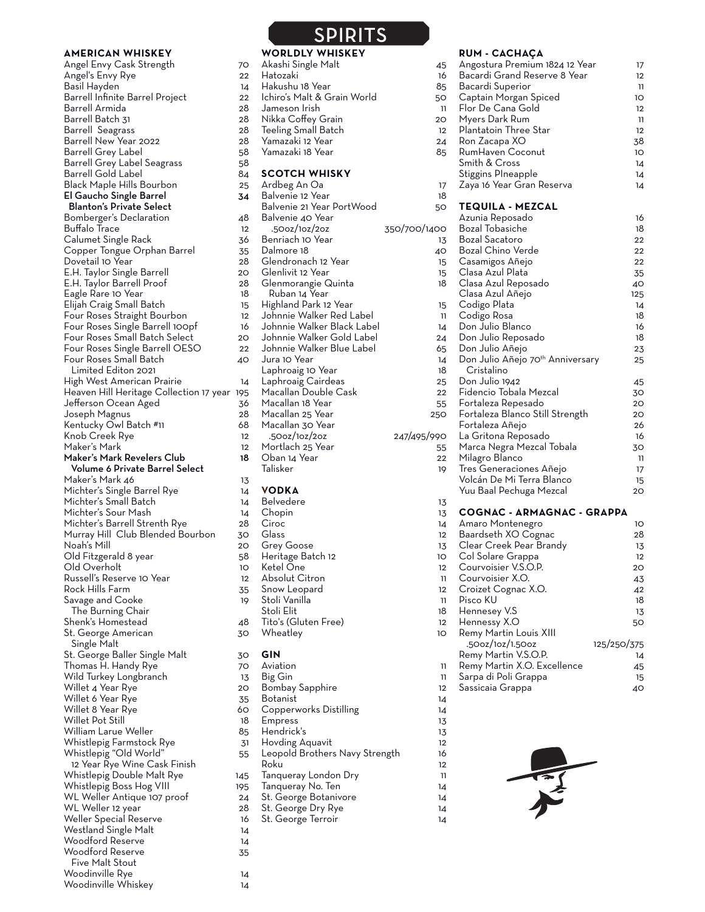#### **AMERICAN WHISKEY**

Angel Envy Cask Strength 70 Angel's Envy Rye 22 Basil Hayden 14 Barrell Infinite Barrel Project Barrell Armida 28 Barrell Batch 31 28 Barrell Seagrass 28 Barrell New Year 2022 **28** Barrell Grey Label 58 Barrell Grey Label Seagrass 58 Barrell Gold Label 84 Black Maple Hills Bourbon 25 El Gaucho Single Barrel 34 Blanton's Private Select Bomberger's Declaration 48 Buffalo Trace Calumet Single Rack 36 Copper Tongue Orphan Barrel 35 Dovetail 10 Year E.H. Taylor Single Barrell 20 E.H. Taylor Barrell Proof Eagle Rare 10 Year 18 Elijah Craig Small Batch 15 Four Roses Straight Bourbon 12 Four Roses Single Barrell 100pf 16 Four Roses Small Batch Select 20 Four Roses Single Barrell OESO 22 Four Roses Small Batch 40 Limited Editon 2021 High West American Prairie 14 Heaven Hill Heritage Collection 17 year 195 Jefferson Ocean Aged 36 Joseph Magnus 28 Kentucky Owl Batch #11 Knob Creek Rye 12 Maker's Mark 12 Maker's Mark Revelers Club 18 Volume 6 Private Barrel Select Maker's Mark 46 13 Michter's Single Barrel Rye 14 Michter's Small Batch 14 Michter's Sour Mash 14 Michter's Barrell Strenth Rye Murray Hill Club Blended Bourbon 30 Noah's Mill 20 Old Fitzgerald 8 year Old Overholt 10 Russell's Reserve 10 Year 12 Rock Hills Farm 35 Savage and Cooke 19 The Burning Chair Shenk's Homestead 48 St. George American and 30 Single Malt St. George Baller Single Malt 30 Thomas H. Handy Rye 70 Wild Turkey Longbranch 13 Willet 4 Year Rye 20 Willet 6 Year Rye 35 Willet 8 Year Rye 60 Willet Pot Still William Larue Weller 85 Whistlepig Farmstock Rye 31 Whistlepig "Old World" 55 12 Year Rye Wine Cask Finish Whistlepig Double Malt Rye 145 Whistlepig Boss Hog VIII 195 WL Weller Antique 107 proof 24 WL Weller 12 year 28 Weller Special Reserve 16 Westland Single Malt 14 Woodford Reserve 14 Woodford Reserve **35** Five Malt Stout Woodinville Rye 14

Woodinville Whiskey 14

# **STIDITS**

|                    | <u>FINI</u>                    |                 |
|--------------------|--------------------------------|-----------------|
|                    | <b>WORLDLY WHISKEY</b>         |                 |
|                    | Akashi Single Malt             | 45              |
| 2                  | Hatozaki                       | 16              |
| 1                  | Hakushu 18 Year                | 85              |
| 2                  | Ichiro's Malt & Grain World    | 50              |
| 3                  | Jameson Irish                  | 11              |
| 3                  | Nikka Coffey Grain             | 20              |
| $\frac{3}{3}$      | Teeling Small Batch            | 12              |
|                    | Yamazaki 12 Year               | 24              |
|                    | Yamazaki 18 Year               | 85              |
| 3                  |                                |                 |
| 1                  | <b>SCOTCH WHISKY</b>           |                 |
| 5                  | Ardbeg An Oa                   | 17              |
| ı                  | Balvenie 12 Year               | 18              |
|                    | Balvenie 21 Year PortWood      | 50              |
| 3                  | Balvenie 40 Year               |                 |
| 2                  | .500z/10z/20z                  | 350/700/1400    |
| $\mathbf{c}$       | Benriach 10 Year               | 13              |
| 5                  | Dalmore 18                     | 40              |
| 3                  | Glendronach 12 Year            | 15              |
| $\mathbf{r}$       | Glenlivit 12 Year              | 15              |
| $\mathbf{\hat{3}}$ | Glenmorangie Quinta            | 18              |
| 3                  | Ruban 14 Year                  |                 |
| 5                  | Highland Park 12 Year          | 15              |
| $\overline{2}$     | Johnnie Walker Red Label       | 11              |
| 5                  | Johnnie Walker Black Label     | 14              |
| $\mathbf{C}$       | Johnnie Walker Gold Label      | 24              |
| 2                  | Johnnie Walker Blue Label      | 65              |
| J                  | Jura 10 Year                   | 14              |
|                    | Laphroaig 10 Year              | 18              |
| 1                  | Laphroaig Cairdeas             | 25              |
| 5                  | Macallan Double Cask           | 22              |
| 5                  | Macallan 18 Year               | 55              |
| 3                  | Macallan 25 Year               | 250             |
| 3                  | Macallan 30 Year               |                 |
| 2                  | .500z/10z/20z                  | 247/495/990     |
| 2                  | Mortlach 25 Year               | 55              |
| Š                  | Oban 14 Year                   | 22              |
|                    | Talisker                       | 19              |
| 5                  |                                |                 |
| 1                  | <b>VODKA</b>                   |                 |
| 1                  | <b>Belvedere</b>               | 13              |
| 1                  | Chopin                         | 13              |
| 3                  | Ciroc                          | 14              |
| $\mathbf{C}$       | Glass                          | 12              |
| Ć                  | Grey Goose                     | 13              |
| 3                  | Heritage Batch 12              | 10              |
| $\mathbf{C}$       | Ketel One                      | 12              |
| 2                  | Absolut Citron                 | 11              |
| 5                  | Snow Leopard                   | 12              |
| 冫                  | Stoli Vanilla                  | 11              |
|                    | Stoli Elit                     | 18              |
| 3                  | Tito's (Gluten Free)           | 12              |
| J                  | Wheatley                       | 10              |
|                    |                                |                 |
| $\mathbf{C}$       | GIN                            |                 |
| $\mathbf{C}$       | Aviation                       | 11              |
| 5                  | Big Gin                        | 11              |
| $\mathbf{C}$       | Bombay Sapphire                | 12              |
| 5                  | Botanist                       | 14              |
| $\mathbf{C}$       | Copperworks Distilling         | $\overline{14}$ |
| $\mathbf{S}$       | <b>Empress</b>                 | 13              |
| 5                  | Hendrick's                     | 13              |
| 1                  | Hovding Aquavit                | 12              |
| 5                  | Leopold Brothers Navy Strength | 16              |
|                    | Roku                           | 12              |
| 5                  | Tanqueray London Dry           | $\overline{1}$  |

Tanqueray No. Ten 14 St. George Botanivore 14 St. George Dry Rye 14 St. George Terroir 14

## **RUM - CACHAÇA**

|     | OM - CACHAÇA                                 |             |
|-----|----------------------------------------------|-------------|
| 45  | Angostura Premium 1824 12 Year               | 17          |
| 16  | Bacardi Grand Reserve 8 Year                 | 12          |
|     |                                              |             |
| 85  | Bacardi Superior                             | 11          |
| 50  | Captain Morgan Spiced                        | 10          |
| 11  | Flor De Cana Gold                            | 12          |
| 20  | Myers Dark Rum                               | 11          |
| 12  |                                              | 12          |
|     | Plantatoin Three Star                        |             |
| 24  | Ron Zacapa XO                                | 38          |
| 85  | RumHaven Coconut                             | 10          |
|     | Smith & Cross                                | 14          |
|     | <b>Stiggins PIneapple</b>                    | 14          |
|     | Zaya 16 Year Gran Reserva                    |             |
| 17  |                                              | 14          |
| 18  |                                              |             |
| 50  | <b>TEQUILA - MEZCAL</b>                      |             |
|     | Azunia Reposado                              | 16          |
| ĴО  | Bozal Tobasiche                              | 18          |
|     | Bozal Sacatoro                               | 22          |
| 13  |                                              |             |
| 40  | Bozal Chino Verde                            | 22          |
| 15  | Casamigos Añejo                              | 22          |
| 15  | Clasa Azul Plata                             | 35          |
| 18  | Clasa Azul Reposado                          | 40          |
|     | Clasa Azul Añejo                             | 125         |
|     |                                              |             |
| 15  | Codigo Plata                                 | 14          |
| -11 | Codigo Rosa                                  | 18          |
| 14  | Don Julio Blanco                             | 16          |
| 24  | Don Julio Reposado                           | 18          |
| 65  | Don Julio Añejo                              | 23          |
|     |                                              |             |
| 14  | Don Julio Añejo 70 <sup>th</sup> Anniversary | 25          |
| 18  | Cristalino                                   |             |
| 25  | Don Julio 1942                               | 45          |
| 22  | Fidencio Tobala Mezcal                       | 30          |
| 55  | Fortaleza Repesado                           | 20          |
|     |                                              |             |
| 50  | Fortaleza Blanco Still Strength              | 20          |
|     | Fortaleza Añejo                              | 26          |
| 90  | La Gritona Reposado                          | 16          |
| 55  | Marca Negra Mezcal Tobala                    | 30          |
| 22  | Milagro Blanco                               | 11          |
|     |                                              |             |
| 19  | Tres Generaciones Añejo                      | 17          |
|     | Volcán De Mi Terra Blanco                    | 15          |
|     | Yuu Baal Pechuga Mezcal                      | 20          |
| 13  |                                              |             |
| 13  | COGNAC - ARMAGNAC - GRAPPA                   |             |
| 14  | Amaro Montenegro                             | 10          |
|     |                                              |             |
| 12  | Baardseth XO Cognac                          | 28          |
| 13  | Clear Creek Pear Brandy                      | 13          |
| 10  | Col Solare Grappa                            | 12          |
| 12  | Courvoisier V.S.O.P.                         | 20          |
| 11  | Courvoisier X.O.                             | 43          |
|     |                                              |             |
| 12  | Croizet Cognac X.O.                          | 42          |
| 11  | Pisco KU                                     | 18          |
| 18  | Hennesey V.S                                 | 13          |
| 12  | Hennessy X.O                                 | 50          |
| 10  | Remy Martin Louis XIII                       |             |
|     | .50oz/1oz/1.50oz                             | 125/250/375 |
|     |                                              |             |
|     | Remy Martin V.S.O.P.                         | 14          |
| 11  | Remy Martin X.O. Excellence                  | 45          |
| 11  | Sarpa di Poli Grappa                         | 15          |
| 12  | Sassicaia Grappa                             | 40          |
| 14  |                                              |             |
|     |                                              |             |
| 14  |                                              |             |
| 13  |                                              |             |
|     |                                              |             |